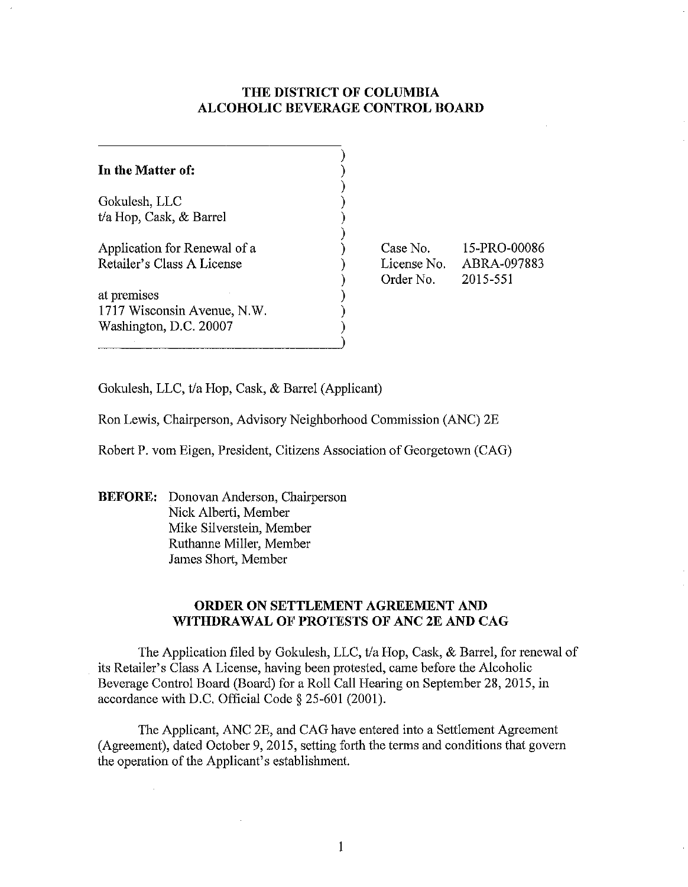#### **THE DISTRICT OF COLUMBIA ALCOHOLIC BEVERAGE CONTROL BOARD**

| In the Matter of:                                                    |  |
|----------------------------------------------------------------------|--|
| Gokulesh, LLC<br>t/a Hop, Cask, & Barrel                             |  |
| Application for Renewal of a<br>Retailer's Class A License           |  |
| at premises<br>1717 Wisconsin Avenue, N.W.<br>Washington, D.C. 20007 |  |

Case No. License No. Order No. 15-PRO-00086 ABRA-097883 2015-551

Gokulesh, LLC, tla Hop, Cask, & Barrel (Applicant)

Ron Lewis, Chairperson, Advisory Neighborhood Commission (ANC) 2E

Robert P. vom Eigen, President, Citizens Association of Georgetown (CAG)

**BEFORE:** Donovan Anderson, Chairperson Nick Alberti, Member Mike Silverstein, Member Ruthanne Miller, Member James Short, Member

 $\mathcal{L}_{\mathcal{A}}$ 

#### **ORDER ON SETTLEMENT AGREEMENT AND WITHDRAWAL OF PROTESTS OF ANC 2E AND CAG**

The Application filed by Gokulesh, LLC, t/a Hop, Cask, & Barrel, for renewal of its Retailer's Class A License, having been protested, came before the Alcoholic Beverage Control Board (Board) for a Roll Call Hearing on September 28,2015, in accordance with D.C. Official Code § 25-601 (2001).

The Applicant, ANC 2E, and CAG have entered into a Settlement Agreement (Agreement), dated October 9, 2015, setting forth the terms and conditions that govern the operation of the Applicant's establishment.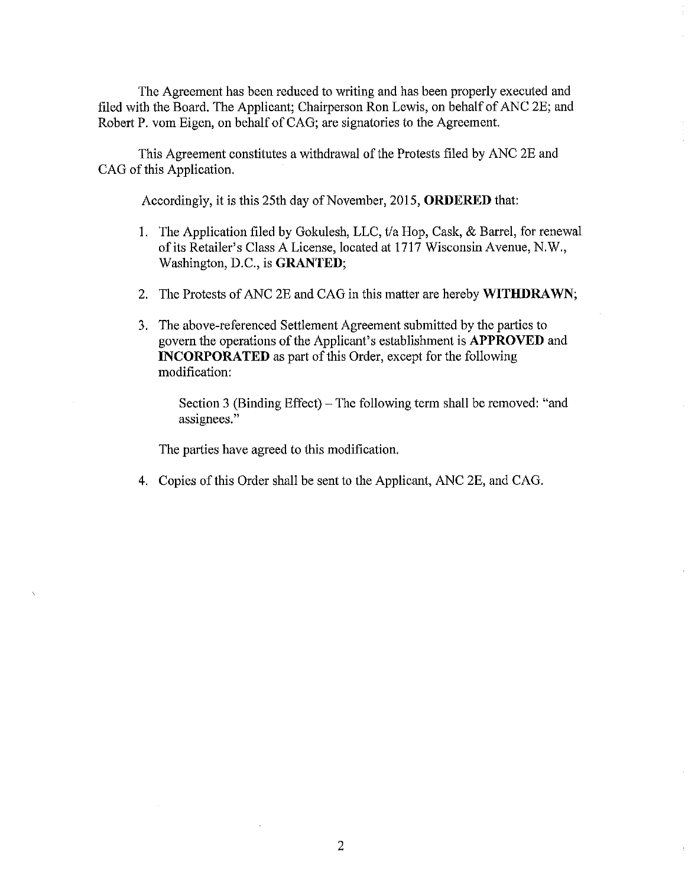The Agreement has been reduced to writing and has been properly executed and filed with the Board. The Applicant; Chairperson Ron Lewis, on behalf of ANC 2E; and Robert P. vom Eigen, on behalf of CAG; are signatories to the Agreement.

This Agreement constitutes a withdrawal of the Protests filed by ANC 2E and CAG of this Application.

Accordingly, it is this 25th day of November, 2015, **ORDERED** that:

- 1. The Application filed by Gokulesh, LLC, t/a Hop, Cask, & Barrel, for renewal of its Retailer's Class A License, located at 1717 Wisconsin Avenue, N.W., Washington, D.C., is **GRANTED;**
- 2. The Protests of ANC 2E and CAG in this matter are hereby **WITHDRAWN;**
- 3. The above-referenced Settlement Agreement submitted by the parties to govern the operations of the Applicant's establishment is **APPROVED** and **INCORPORATED** as part of this Order, except for the following modification:

Section 3 (Binding Effect) – The following term shall be removed: "and assignees."

The parties have agreed to this modification.

4. Copies of this Order shall be sent to the Applicant, ANC 2E, and CAG.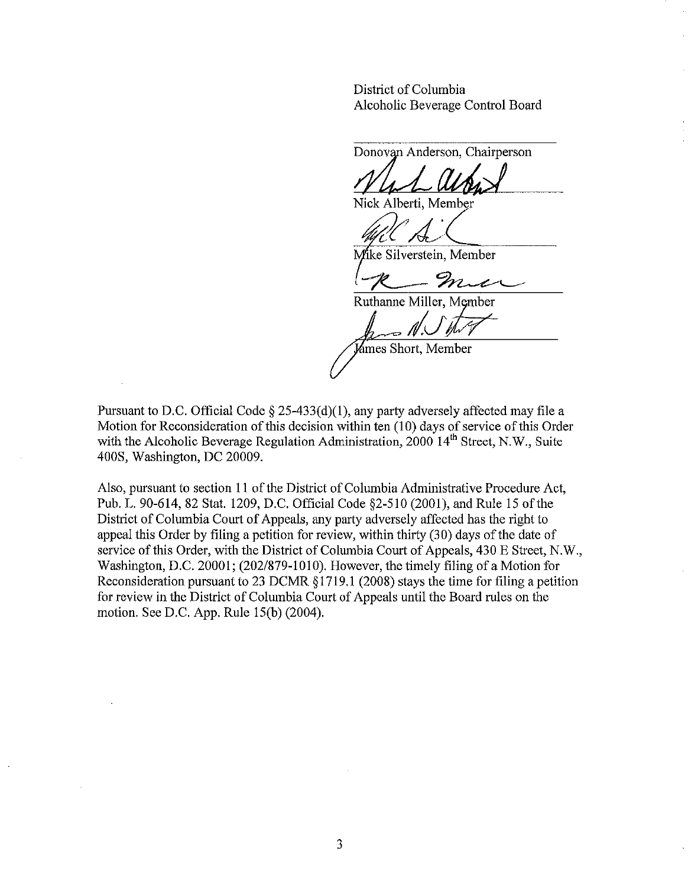District of Columbia Alcoholic Beverage Control Board

Donovan Anderson, Chairperson

Nick Alberti, Member

Mike Silverstein, Member

mic

Ruthanne Miller, Member

*;/V!J--*

'ámes Short. Member

Pursuant to D.C. Official Code § 25-433(d)(I), any party adversely affected may file a Motion for Reconsideration of this decision within ten (10) days of service of this Order with the Alcoholic Beverage Regulation Administration,  $2000 \, 14^{th}$  Street, N.W., Suite 400S, Washington, DC 20009.

Also, pursuant to section 11 of the District of Columbia Administrative Procedure Act, Pub. 1. 90-614, 82 Stat. 1209, D.C. Official Code §2-51O (2001), and Rule 15 of the District of Columbia Court of Appeals, any party adversely affected has the right to appeal this Order by filing a petition for review, within thirty (30) days of the date of service of this Order, with the District of Columbia Court of Appeals, 430 E Street, N.W., Washington, D.C. 20001; (202/879-1010). However, the timely filing of a Motion for Reconsideration pursuant to 23 DCMR § 1719.1 (2008) stays the time for filing a petition for review in the District of Columbia Court of Appeals until the Board rules on the motion. See D.C. App. Rule 15(b) (2004).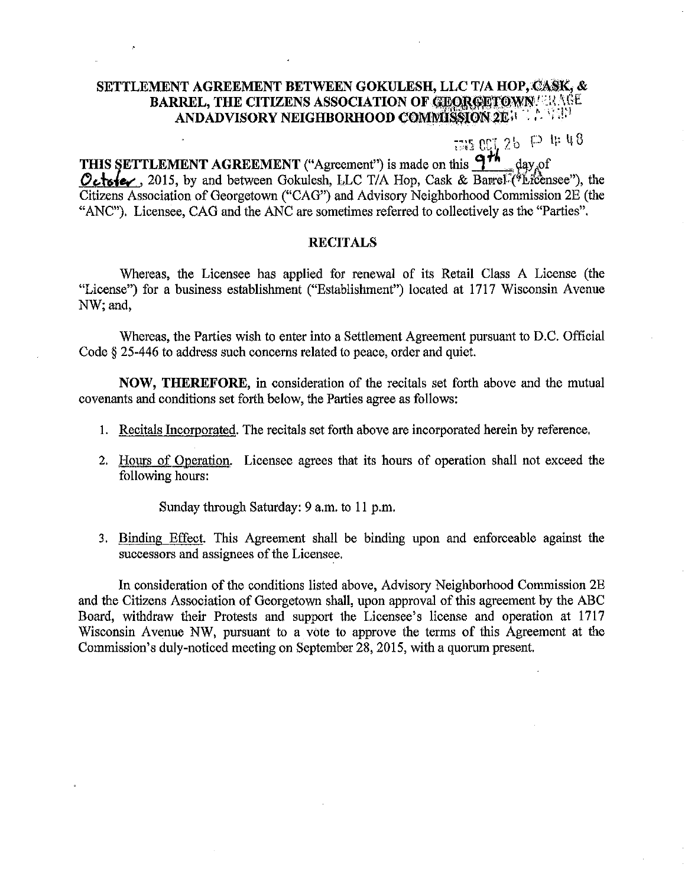### SETTLEMENT AGREEMENT BETWEEN GOKULESH, LLC T/A HOP, CASK, & BARREL, THE CITIZENS ASSOCIATION OF GEORGETOWN.<sup>122AGE</sup> ANDADVISORY NEIGHBORHOOD C()Mm~lON~Eil .,.', .!.l

 $:550C126 P#48$ 

THIS SETTLEMENT AGREEMENT ("Agreement") is made on this  $\frac{9\hbar}{16}$  day of<br>*O***ctote**, ... 2015, by and between Gokulesh, LLC T/A Hop, Cask & Barrel<sup>1</sup>("Licensee"), the Citizens Association of Georgetown ("CAG") and Advisory Neighborhood Commission 2E (the "ANC"). Licensee, CAG and the ANC are sometimes referred to collectively as the "Parties".

#### **RECITALS**

Whereas, the Licensee has applied for renewal of its Retail Class A License (the "License") for a business establishment ("Establishment") located at 1717 Wisconsin Avenue NW; and,

Whereas, the Parties wish to enter into a Settlement Agreement pursuant to D.C. Official Code § 25-446 to address such concerns related to peace, order and quiet.

NOW, THEREFORE, in consideration of the recitals set forth above and the mutual covenants and conditions set forth below, the Parties agree as follows:

- 1. Recitals Incorporated. The recitals set forth above are incorporated herein by reference.
- 2. Hours of Operation. Licensee agrees that its hours of operation shall not exceed the following hours:

Sunday through Saturday: 9 a.m. to 11 p.m.

3. Binding Effect. This Agreement shall be binding upon and enforceable against the successors and assignees of the Licensee.

In consideration of the conditions listed above, Advisory Neighborhood Commission 2E and the Citizens Association of Georgetown shall, upon approval of this agreement by the ABC Board, withdraw their Protests and support the Licensee's license and operation at 1717 Wisconsin Avenue NW, pursuant to a vote to approve the terms of this Agreement at the Commission's duly-noticed meeting on September 28, 2015, with a quorum present.